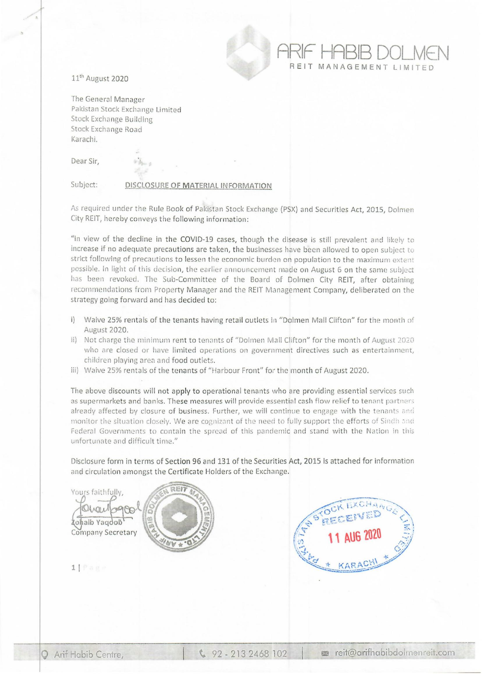

11th August 2020

The General Manager Pakistan Stock Exchange Limited Stock Exchange Building Stock Exchange Road Karachi.

Dear Sir,

## Subject: **DISCLOSURE OF MATERIAL INFORMATION**

As required under the Rule Book of Pakistan Stock Exchange (PSX) and Securities Act, 2015, Dolmen City REIT, hereby conveys the following information:

"In view of the decline in the COVID-19 cases, though the disease is still prevalent and likely to increase if no adequate precautions are taken, the businesses have been allowed to open subject to strict following of precautions to lessen the economic burden on population to the maximum extent possible. In light of this decision, the earlier announcement made on August 6 on the same subject has been revoked. The Sub-Committee of the Board of Dolmen City REIT, after obtaining recommendations from Property Manager and the REIT Management Company, deliberated on the strategy going forward and has decided to:

- i) Waive 25% rentals of the tenants having retail outlets in "Dolmen Mall Clifton" for the month of August 2020.
- ii) Not charge the minimum rent to tenants of "Dolmen Mall Clifton" for the month of August *2020*  who are closed or have limited operations on government directives such as entertainment, children plaving area and food outlets.
- iii) Waive 25% rentals of the tenants of "Harbour Front" for the month of August 2020.

The above discounts will not apply to operational tenants who are providing essential services such as supermarkets and banks. These measures will provide essential cash flow relief to tenant partners already affected by closure of business. Further, we will continue to engage with the tenants and monitor the situation closely. We are cognizant of the need to fully support the efforts of Sindh and Federal Governments to contain the spread of this pandemic and stand with the Nation in this unfortunate and difficult time."

Disclosure form in terms of Section 96 and 131 of the Securities Act, 2015 is attached for information and circulation amongst the Certificate Holders of the Exchange.



**ARIF HABIB DOLMEN MANAGEMENT LIMITE** 

**11**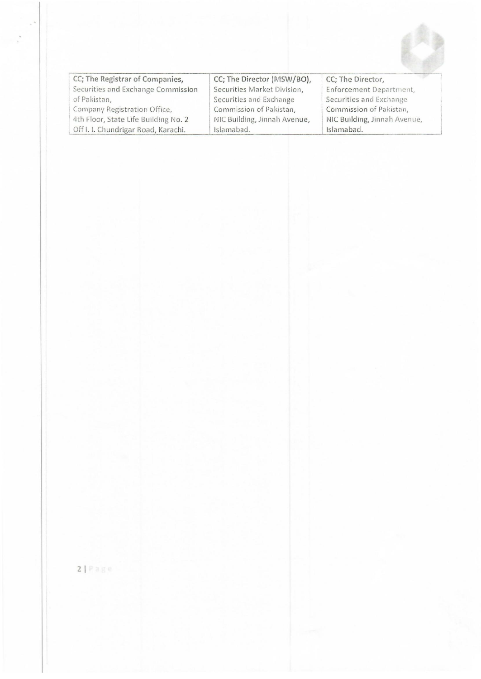

| CC; The Registrar of Companies,      | CC; The Director (MSW/BO),   | CC; The Director,            |
|--------------------------------------|------------------------------|------------------------------|
| Securities and Exchange Commission   | Securities Market Division,  | Enforcement Department,      |
| of Pakistan,                         | Securities and Exchange      | Securities and Exchange      |
| Company Registration Office,         | Commission of Pakistan,      | Commission of Pakistan,      |
| 4th Floor, State Life Building No. 2 | NIC Building, Jinnah Avenue, | NIC Building, Jinnah Avenue, |
| Off I. I. Chundrigar Road, Karachi.  | Islamabad.                   | Islamabad.                   |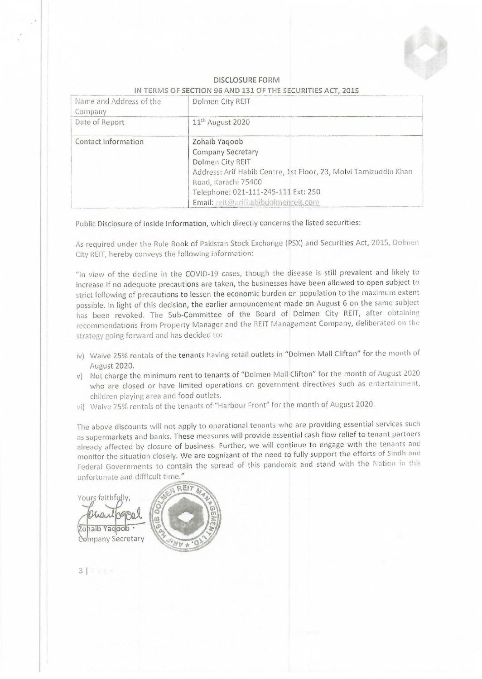

## **DISCLOSURE FORM** IN TERMS OF SECTION 96 AND 131 OF THE SECURITIES ACT, 2015

| Name and Address of the<br>Company | Dolmen City REIT                                                                                                                                                                                                                       |
|------------------------------------|----------------------------------------------------------------------------------------------------------------------------------------------------------------------------------------------------------------------------------------|
| Date of Report                     | 11 <sup>th</sup> August 2020                                                                                                                                                                                                           |
| Contact Information                | Zohaib Yaqoob<br><b>Company Secretary</b><br>Dolmen City REIT<br>Address: Arif Habib Centre, 1st Floor, 23, Molvi Tamizuddin Khan<br>Road, Karachi 75400<br>Telephone: 021-111-245-111 Ext: 250<br>Email: reit@arifhabibdolmenreit.com |

Public Disclosure of inside Information, which directly concerns the listed securities:

As required under the Rule Book of Pakistan Stock Exchange (PSX) and Securities Act, 2015, Dolmen City REIT, hereby conveys the following information:

"In view of the decline in the COVID-19 cases, though the disease is still prevalent and likely to increase if no adequate precautions are taken, the businesses have been allowed to open subject to strict following of precautions to lessen the economic burden on population to the maximum extent possible. In light of this decision, the earlier announcement made on August 6 on the same subject has been revoked. The Sub-Committee of the Board of Dolmen City REIT, after obtaining recommendations from Property Manager and the REIT Management Company, deliberated on the strategy going forward and has decided to:

- iv) Waive 25% rentals of the tenants having retail outlets in "Dolmen Mall Clifton" for the month of August 2020.
- v) Not charge the minimum rent to tenants of "Dolmen Mall Clifton" for the month of August 2020 who are closed or have limited operations on government directives such as entertainment, children playing area and food outlets.
- vi) Waive 25% rentals of the tenants of "Harbour Front" for the month of August 2020.

The above discounts will not apply to operational tenants who are providing essential services such as supermarkets and banks. These measures will provide essential cash flow relief to tenant partners already affected by closure of business. Further, we will continue to engage with the tenants and monitor the situation closely. We are cognizant of the need to fully support the efforts of Sindh and Federal Governments to contain the spread of this pandemic and stand with the Nation in this unfortunate and difficult time."

Yours faithfully Zohaib Yadoob Company Secretary

 $319$  age